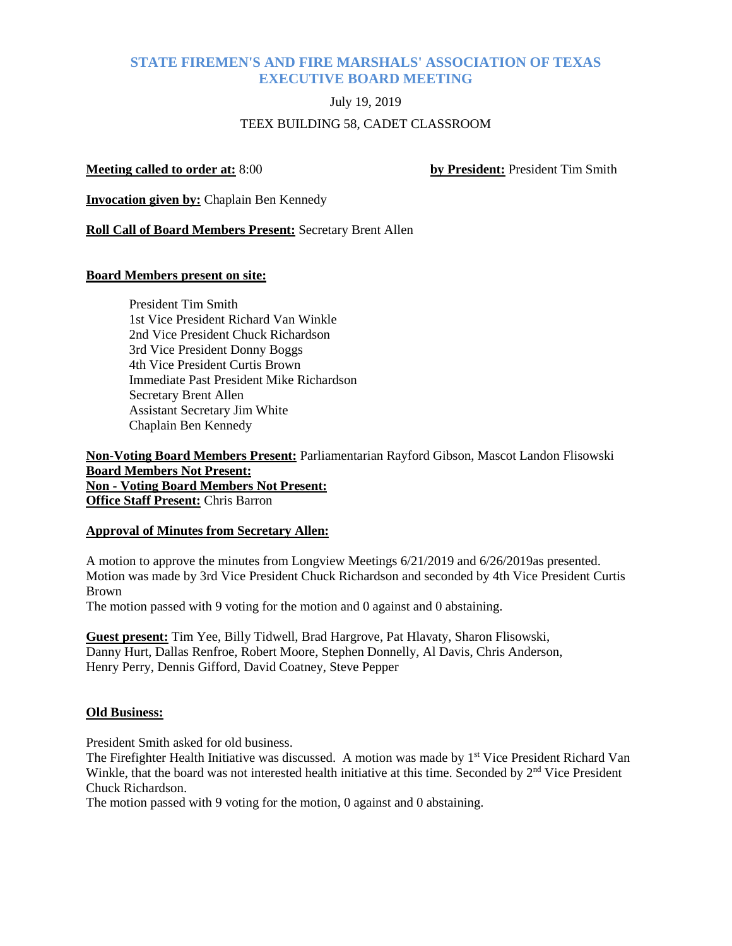## **STATE FIREMEN'S AND FIRE MARSHALS' ASSOCIATION OF TEXAS EXECUTIVE BOARD MEETING**

# July 19, 2019 TEEX BUILDING 58, CADET CLASSROOM

**Meeting called to order at:** 8:00 **by President:** President Tim Smith

**Invocation given by:** Chaplain Ben Kennedy

**Roll Call of Board Members Present:** Secretary Brent Allen

#### **Board Members present on site:**

President Tim Smith 1st Vice President Richard Van Winkle 2nd Vice President Chuck Richardson 3rd Vice President Donny Boggs 4th Vice President Curtis Brown Immediate Past President Mike Richardson Secretary Brent Allen Assistant Secretary Jim White Chaplain Ben Kennedy

**Non-Voting Board Members Present:** Parliamentarian Rayford Gibson, Mascot Landon Flisowski **Board Members Not Present: Non - Voting Board Members Not Present: Office Staff Present:** Chris Barron

#### **Approval of Minutes from Secretary Allen:**

A motion to approve the minutes from Longview Meetings 6/21/2019 and 6/26/2019as presented. Motion was made by 3rd Vice President Chuck Richardson and seconded by 4th Vice President Curtis Brown

The motion passed with 9 voting for the motion and 0 against and 0 abstaining.

**Guest present:** Tim Yee, Billy Tidwell, Brad Hargrove, Pat Hlavaty, Sharon Flisowski, Danny Hurt, Dallas Renfroe, Robert Moore, Stephen Donnelly, Al Davis, Chris Anderson, Henry Perry, Dennis Gifford, David Coatney, Steve Pepper

### **Old Business:**

President Smith asked for old business.

The Firefighter Health Initiative was discussed. A motion was made by 1<sup>st</sup> Vice President Richard Van Winkle, that the board was not interested health initiative at this time. Seconded by  $2<sup>nd</sup>$  Vice President Chuck Richardson.

The motion passed with 9 voting for the motion, 0 against and 0 abstaining.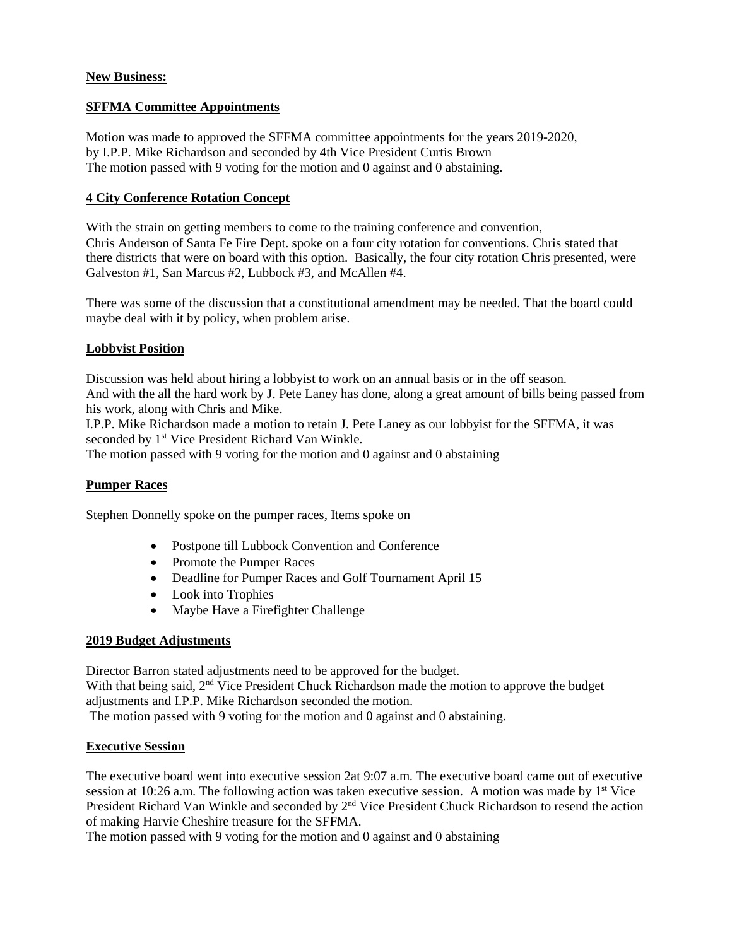#### **New Business:**

#### **SFFMA Committee Appointments**

Motion was made to approved the SFFMA committee appointments for the years 2019-2020, by I.P.P. Mike Richardson and seconded by 4th Vice President Curtis Brown The motion passed with 9 voting for the motion and 0 against and 0 abstaining.

#### **4 City Conference Rotation Concept**

With the strain on getting members to come to the training conference and convention, Chris Anderson of Santa Fe Fire Dept. spoke on a four city rotation for conventions. Chris stated that there districts that were on board with this option. Basically, the four city rotation Chris presented, were Galveston #1, San Marcus #2, Lubbock #3, and McAllen #4.

There was some of the discussion that a constitutional amendment may be needed. That the board could maybe deal with it by policy, when problem arise.

#### **Lobbyist Position**

Discussion was held about hiring a lobbyist to work on an annual basis or in the off season. And with the all the hard work by J. Pete Laney has done, along a great amount of bills being passed from his work, along with Chris and Mike.

I.P.P. Mike Richardson made a motion to retain J. Pete Laney as our lobbyist for the SFFMA, it was seconded by 1<sup>st</sup> Vice President Richard Van Winkle.

The motion passed with 9 voting for the motion and 0 against and 0 abstaining

#### **Pumper Races**

Stephen Donnelly spoke on the pumper races, Items spoke on

- Postpone till Lubbock Convention and Conference
- Promote the Pumper Races
- Deadline for Pumper Races and Golf Tournament April 15
- Look into Trophies
- Maybe Have a Firefighter Challenge

#### **2019 Budget Adjustments**

Director Barron stated adjustments need to be approved for the budget.

With that being said,  $2<sup>nd</sup>$  Vice President Chuck Richardson made the motion to approve the budget adjustments and I.P.P. Mike Richardson seconded the motion.

The motion passed with 9 voting for the motion and 0 against and 0 abstaining.

#### **Executive Session**

The executive board went into executive session 2at 9:07 a.m. The executive board came out of executive session at 10:26 a.m. The following action was taken executive session. A motion was made by  $1<sup>st</sup>$  Vice President Richard Van Winkle and seconded by 2<sup>nd</sup> Vice President Chuck Richardson to resend the action of making Harvie Cheshire treasure for the SFFMA.

The motion passed with 9 voting for the motion and 0 against and 0 abstaining